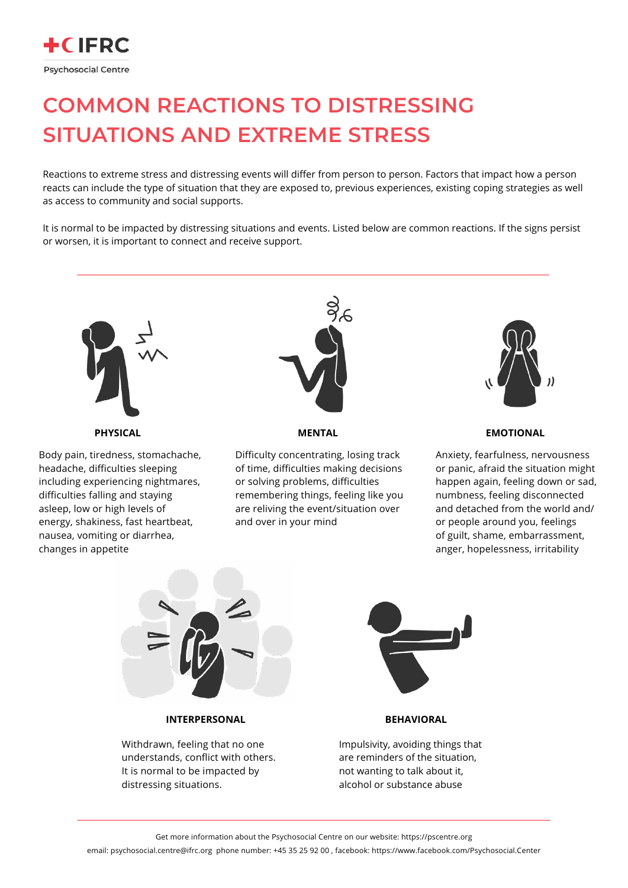Body pain, tiredness, stomachache, headache, difficulties sleeping including experiencing nightmares, difficulties falling and staying asleep, low or high levels of energy, shakiness, fast heartbeat, nausea, vomiting or diarrhea, changes in appetite



Difficulty concentrating, losing track of time, difficulties making decisions or solving problems, difficulties remembering things, feeling like you are reliving the event/situation over and over in your mind



Impulsivity, avoiding things that are reminders of the situation, not wanting to talk about it, alcohol or substance abuse

Withdrawn, feeling that no one understands, conflict with others. It is normal to be impacted by distressing situations.

Get more information about the Psychosocial Centre on our website: https://pscentre.org

email: psychosocial.centre@ifrc.org phone number: +45 35 25 92 00 , facebook: https://www.facebook.com/Psychosocial.Center

Anxiety, fearfulness, nervousness or panic, afraid the situation might happen again, feeling down or sad, numbness, feeling disconnected and detached from the world and/ or people around you, feelings of guilt, shame, embarrassment, anger, hopelessness, irritability



**PHYSICAL MENTAL EMOTIONAL**

## **INTERPERSONAL BEHAVIORAL**



## **COMMON REACTIONS TO DISTRESSING SITUATIONS AND EXTREME STRESS**

Reactions to extreme stress and distressing events will differ from person to person. Factors that impact how a person reacts can include the type of situation that they are exposed to, previous experiences, existing coping strategies as well as access to community and social supports.

It is normal to be impacted by distressing situations and events. Listed below are common reactions. If the signs persist or worsen, it is important to connect and receive support.